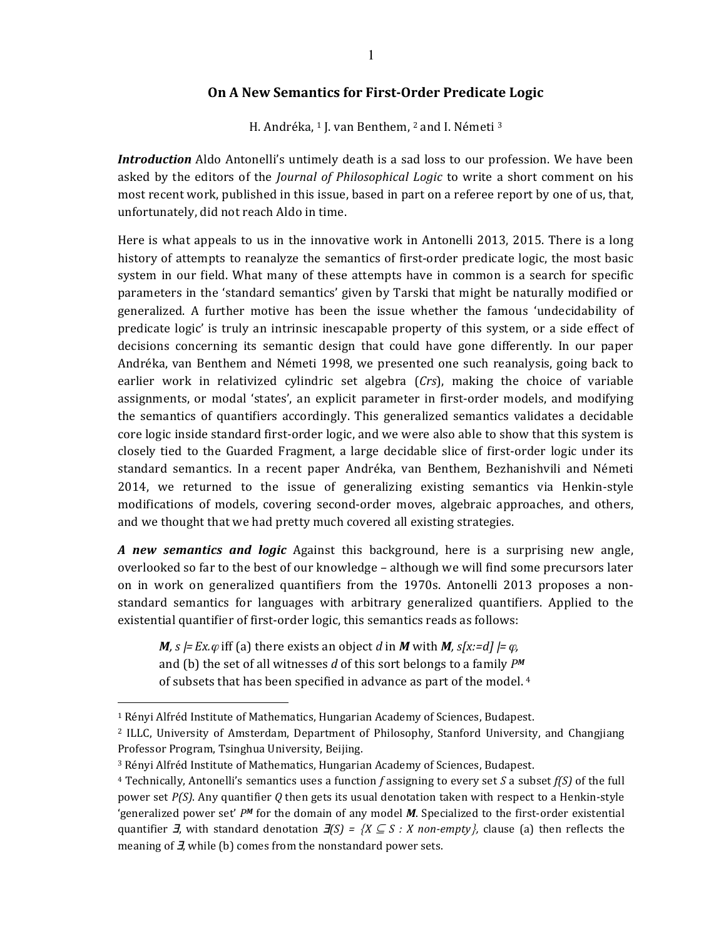## **On A New Semantics for First-Order Predicate Logic**

H. Andréka, <sup>1</sup> J. van Benthem, <sup>2</sup> and I. Németi <sup>3</sup>

*Introduction* Aldo Antonelli's untimely death is a sad loss to our profession. We have been asked by the editors of the *Journal of Philosophical Logic* to write a short comment on his most recent work, published in this issue, based in part on a referee report by one of us, that, unfortunately, did not reach Aldo in time.

Here is what appeals to us in the innovative work in Antonelli 2013, 2015. There is a long history of attempts to reanalyze the semantics of first-order predicate logic, the most basic system in our field. What many of these attempts have in common is a search for specific parameters in the 'standard semantics' given by Tarski that might be naturally modified or generalized. A further motive has been the issue whether the famous 'undecidability of predicate logic' is truly an intrinsic inescapable property of this system, or a side effect of decisions concerning its semantic design that could have gone differently. In our paper Andréka, van Benthem and Németi 1998, we presented one such reanalysis, going back to earlier work in relativized cylindric set algebra (*Crs*), making the choice of variable assignments, or modal 'states', an explicit parameter in first-order models, and modifying the semantics of quantifiers accordingly. This generalized semantics validates a decidable core logic inside standard first-order logic, and we were also able to show that this system is closely tied to the Guarded Fragment, a large decidable slice of first-order logic under its standard semantics. In a recent paper Andréka, van Benthem, Bezhanishvili and Németi 2014, we returned to the issue of generalizing existing semantics via Henkin-style modifications of models, covering second-order moves, algebraic approaches, and others, and we thought that we had pretty much covered all existing strategies.

*A* new semantics and logic Against this background, here is a surprising new angle, overlooked so far to the best of our knowledge - although we will find some precursors later on in work on generalized quantifiers from the 1970s. Antonelli 2013 proposes a nonstandard semantics for languages with arbitrary generalized quantifiers. Applied to the existential quantifier of first-order logic, this semantics reads as follows:

*M*, *s*  $=$  *Ex.* $\varphi$  iff (a) there exists an object *d* in *M* with *M*, *s[x:*=*d]*  $=$   $\varphi$ , and (b) the set of all witnesses d of this sort belongs to a family  $P^M$ of subsets that has been specified in advance as part of the model. 4

-

<sup>&</sup>lt;sup>1</sup> Rényi Alfréd Institute of Mathematics, Hungarian Academy of Sciences, Budapest.

<sup>&</sup>lt;sup>2</sup> ILLC, University of Amsterdam, Department of Philosophy, Stanford University, and Changjiang Professor Program, Tsinghua University, Beijing.

<sup>&</sup>lt;sup>3</sup> Rényi Alfréd Institute of Mathematics, Hungarian Academy of Sciences, Budapest.

 $4$  Technically, Antonelli's semantics uses a function f assigning to every set *S* a subset  $f(S)$  of the full power set  $P(S)$ . Any quantifier Q then gets its usual denotation taken with respect to a Henkin-style 'generalized power set' *PM* for the domain of any model *M*. Specialized to the first-order existential quantifier  $\vec{\mathbf{J}}$ , with standard denotation  $\vec{\mathbf{J}}(S) = \{X \subseteq S : X \text{ non-empty}\}\$ , clause (a) then reflects the meaning of  $\vec{J}$ , while (b) comes from the nonstandard power sets.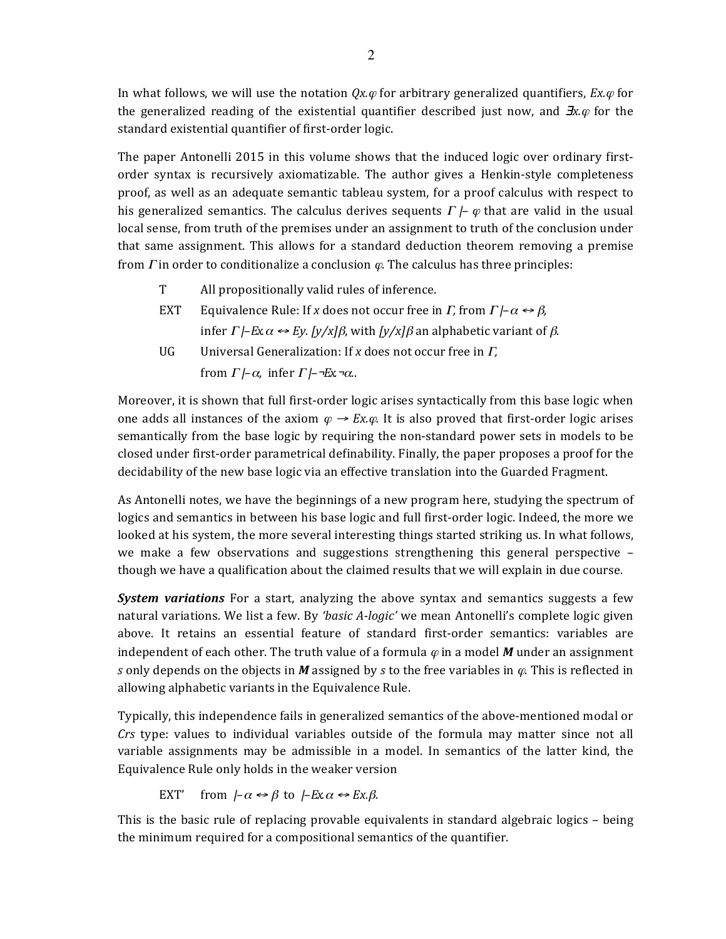In what follows, we will use the notation  $Qx.\varphi$  for arbitrary generalized quantifiers,  $Ex.\varphi$  for the generalized reading of the existential quantifier described just now, and  $\exists x.\varphi$  for the standard existential quantifier of first-order logic.

The paper Antonelli 2015 in this volume shows that the induced logic over ordinary firstorder syntax is recursively axiomatizable. The author gives a Henkin-style completeness proof, as well as an adequate semantic tableau system, for a proof calculus with respect to his generalized semantics. The calculus derives sequents  $\Gamma \vdash \varphi$  that are valid in the usual local sense, from truth of the premises under an assignment to truth of the conclusion under that same assignment. This allows for a standard deduction theorem removing a premise from  $\Gamma$  in order to conditionalize a conclusion  $\varphi$ . The calculus has three principles:

- T All propositionally valid rules of inference.
- EXT Equivalence Rule: If *x* does not occur free in *Γ*, from  $\Gamma$ *|–α*  $\leftrightarrow$  *β*, infer  $\Gamma$  *|–Ex.α*  $\leftrightarrow$  *Ey.* [y/x]*β*, with [y/x]*β* an alphabetic variant of *β*.
- UG Universal Generalization: If *x* does not occur free in  $\Gamma$ , from  $\Gamma$  *|–α*, infer  $\Gamma$  *|–¬Ex-α*..

Moreover, it is shown that full first-order logic arises syntactically from this base logic when one adds all instances of the axiom  $\varphi \rightarrow Ex.\varphi$ . It is also proved that first-order logic arises semantically from the base logic by requiring the non-standard power sets in models to be closed under first-order parametrical definability. Finally, the paper proposes a proof for the decidability of the new base logic via an effective translation into the Guarded Fragment.

As Antonelli notes, we have the beginnings of a new program here, studying the spectrum of logics and semantics in between his base logic and full first-order logic. Indeed, the more we looked at his system, the more several interesting things started striking us. In what follows, we make a few observations and suggestions strengthening this general perspective  $$ though we have a qualification about the claimed results that we will explain in due course.

**System variations** For a start, analyzing the above syntax and semantics suggests a few natural variations. We list a few. By *'basic A-logic'* we mean Antonelli's complete logic given above. It retains an essential feature of standard first-order semantics: variables are independent of each other. The truth value of a formula  $\varphi$  in a model *M* under an assignment *s* only depends on the objects in *M* assigned by *s* to the free variables in  $\varphi$ . This is reflected in allowing alphabetic variants in the Equivalence Rule.

Typically, this independence fails in generalized semantics of the above-mentioned modal or *Crs* type: values to individual variables outside of the formula may matter since not all variable assignments may be admissible in a model. In semantics of the latter kind, the Equivalence Rule only holds in the weaker version

EXT' from  $-\alpha \leftrightarrow \beta$  to  $\beta$ Ex. $\alpha \leftrightarrow \beta$ .

This is the basic rule of replacing provable equivalents in standard algebraic logics  $-$  being the minimum required for a compositional semantics of the quantifier.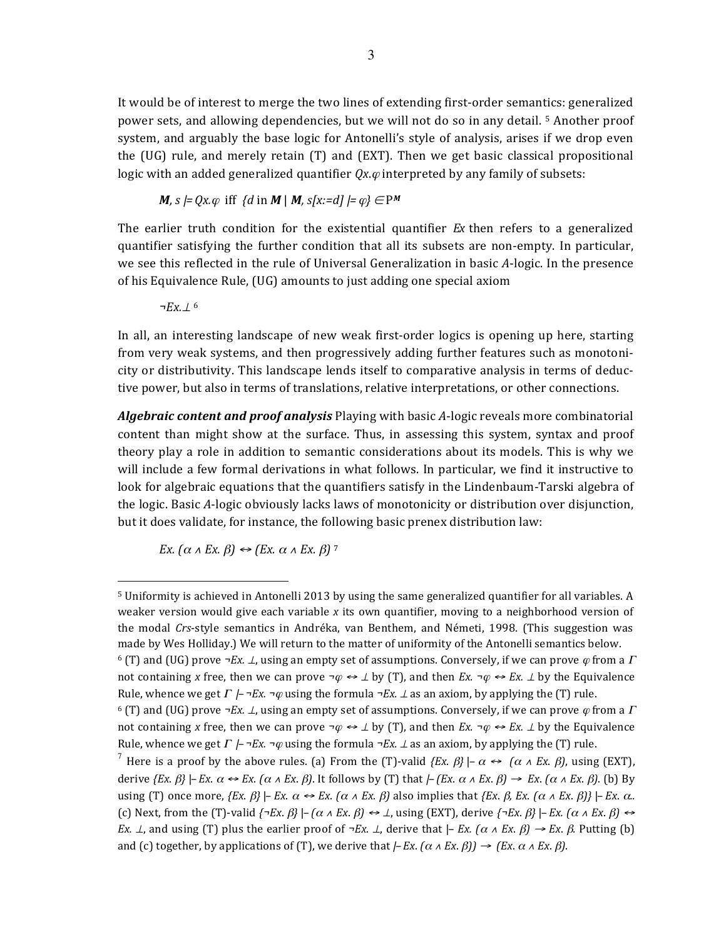It would be of interest to merge the two lines of extending first-order semantics: generalized power sets, and allowing dependencies, but we will not do so in any detail. <sup>5</sup> Another proof system, and arguably the base logic for Antonelli's style of analysis, arises if we drop even the (UG) rule, and merely retain (T) and (EXT). Then we get basic classical propositional logic with an added generalized quantifier  $Qx.\varphi$  interpreted by any family of subsets:

$$
M, s \models Qx. \varphi \text{ iff } \{d \text{ in } M \mid M, s[x:=d] \models \varphi\} \in P^M
$$

The earlier truth condition for the existential quantifier  $E<sub>x</sub>$  then refers to a generalized quantifier satisfying the further condition that all its subsets are non-empty. In particular, we see this reflected in the rule of Universal Generalization in basic A-logic. In the presence of his Equivalence Rule, (UG) amounts to just adding one special axiom

*¬Ex.*<sup>⊥</sup> <sup>6</sup>

<u>.</u>

In all, an interesting landscape of new weak first-order logics is opening up here, starting from very weak systems, and then progressively adding further features such as monotonicity or distributivity. This landscape lends itself to comparative analysis in terms of deductive power, but also in terms of translations, relative interpretations, or other connections.

*Algebraic content and proof analysis* Playing with basic *A*-logic reveals more combinatorial content than might show at the surface. Thus, in assessing this system, syntax and proof theory play a role in addition to semantic considerations about its models. This is why we will include a few formal derivations in what follows. In particular, we find it instructive to look for algebraic equations that the quantifiers satisfy in the Lindenbaum-Tarski algebra of the logic. Basic A-logic obviously lacks laws of monotonicity or distribution over disjunction, but it does validate, for instance, the following basic prenex distribution law:

*Ex.*  $(\alpha \land Ex. \beta) \leftrightarrow (Ex. \alpha \land Ex. \beta)$ <sup>7</sup>

<sup>&</sup>lt;sup>5</sup> Uniformity is achieved in Antonelli 2013 by using the same generalized quantifier for all variables. A weaker version would give each variable x its own quantifier, moving to a neighborhood version of the modal *Crs*-style semantics in Andréka, van Benthem, and Németi, 1998. (This suggestion was made by Wes Holliday.) We will return to the matter of uniformity of the Antonelli semantics below. 6 (T) and (UG) prove  $\neg Ex. \perp$ , using an empty set of assumptions. Conversely, if we can prove  $\varphi$  from a  $\Gamma$ not containing *x* free, then we can prove  $\neg \varphi \leftrightarrow \bot$  by (T), and then *Ex.*  $\neg \varphi \leftrightarrow Ex \bot$  by the Equivalence Rule, whence we get  $\Gamma \nightharpoonup \neg Ex. \neg \varphi$  using the formula  $\neg Ex. \bot$  as an axiom, by applying the (T) rule. 6 (T) and (UG) prove  $\neg Ex. \perp$ , using an empty set of assumptions. Conversely, if we can prove  $\varphi$  from a  $\Gamma$ not containing *x* free, then we can prove  $\neg \varphi \leftrightarrow \bot$  by (T), and then *Ex.*  $\neg \varphi \leftrightarrow Ex \bot$  by the Equivalence Rule, whence we get  $\Gamma$   $\rightarrow$   $\neg$ *Ex.*  $\neg$  $\varphi$  using the formula  $\neg$ *Ex.*  $\bot$  as an axiom, by applying the (T) rule.

<sup>&</sup>lt;sup>7</sup> Here is a proof by the above rules. (a) From the (T)-valid  $\{Ex. \beta\}$  |–  $\alpha \leftrightarrow (\alpha \wedge Ex. \beta)$ , using (EXT), derive  $\{Ex. \beta\}$  |–  $Ex. \alpha \leftrightarrow Ex. (\alpha \wedge Ex. \beta)$ . It follows by (T) that  $\left[-\frac{Ex}{x} \alpha \wedge Ex. \beta\right] \rightarrow Ex. (\alpha \wedge Ex. \beta)$ . (b) By using (T) once more,  ${Ex. β}$  |–  ${Ex. α}$   $\leftrightarrow$   ${Ex. (α ∧ Ex. β)}$  also implies that  ${Ex. β, Ex. (α ∧ Ex. β)}$  |–  ${Ex. α.}$ (c) Next, from the (T)-valid  $\{\neg Ex. \beta\} \mid -(\alpha \land Ex. \beta) \Leftrightarrow \bot$ , using (EXT), derive  $\{\neg Ex. \beta\} \mid -Ex. (\alpha \land Ex. \beta) \Leftrightarrow \bot$ *Ex.* ⊥, and using (T) plus the earlier proof of  $\neg Ex$ . ⊥, derive that  $|- Ex \ (\alpha \land Ex \ \beta) \rightarrow Ex \ \beta$ . Putting (b) and (c) together, by applications of (T), we derive that  $\left\vert -Ex \right\rangle (ax \wedge Ex \cdot \beta)$   $\rightarrow (Ex \alpha \wedge Ex \cdot \beta)$ .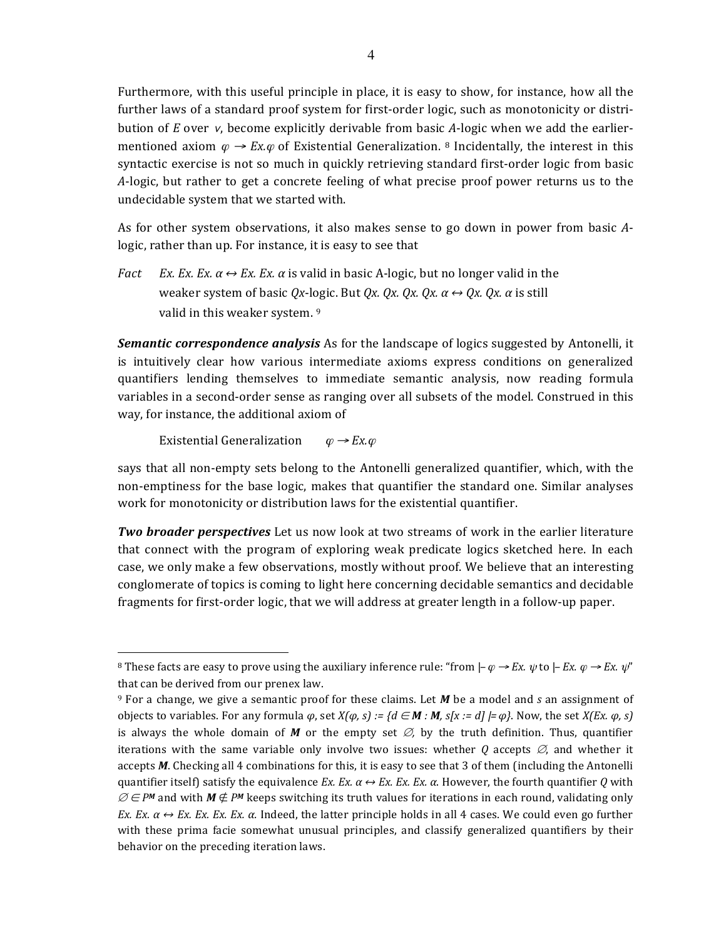Furthermore, with this useful principle in place, it is easy to show, for instance, how all the further laws of a standard proof system for first-order logic, such as monotonicity or distribution of *E* over *ν*, become explicitly derivable from basic *A*-logic when we add the earliermentioned axiom  $\varphi \to Ex \varphi$  of Existential Generalization. <sup>8</sup> Incidentally, the interest in this syntactic exercise is not so much in quickly retrieving standard first-order logic from basic *A*-logic, but rather to get a concrete feeling of what precise proof power returns us to the undecidable system that we started with.

As for other system observations, it also makes sense to go down in power from basic Alogic, rather than up. For instance, it is easy to see that

*Fact Ex. Ex. Ex.*  $\alpha \leftrightarrow Ex$ . *Ex.*  $\alpha$  is valid in basic A-logic, but no longer valid in the weaker system of basic  $Qx$ -logic. But  $Qx$ .  $Qx$ .  $Qx$ .  $\alpha \leftrightarrow Qx$ .  $Qx$ .  $\alpha$  is still valid in this weaker system. 9

**Semantic correspondence analysis** As for the landscape of logics suggested by Antonelli, it is intuitively clear how various intermediate axioms express conditions on generalized quantifiers lending themselves to immediate semantic analysis, now reading formula variables in a second-order sense as ranging over all subsets of the model. Construed in this way, for instance, the additional axiom of

Existential Generalization  $\varphi \rightarrow Ex.\varphi$ 

<u>.</u>

says that all non-empty sets belong to the Antonelli generalized quantifier, which, with the non-emptiness for the base logic, makes that quantifier the standard one. Similar analyses work for monotonicity or distribution laws for the existential quantifier.

*Two broader perspectives* Let us now look at two streams of work in the earlier literature that connect with the program of exploring weak predicate logics sketched here. In each case, we only make a few observations, mostly without proof. We believe that an interesting conglomerate of topics is coming to light here concerning decidable semantics and decidable fragments for first-order logic, that we will address at greater length in a follow-up paper.

<sup>&</sup>lt;sup>8</sup> These facts are easy to prove using the auxiliary inference rule: "from  $\vert-\varphi\to Ex$ .  $\psi$  to  $\vert$  *- Ex.*  $\varphi\to Ex$ .  $\psi''$ that can be derived from our prenex law.

 $9$  For a change, we give a semantic proof for these claims. Let *M* be a model and *s* an assignment of objects to variables. For any formula *φ*, set *X(φ, s)* :=  $\{d \in M : M, s[x := d] \models φ\}$ . Now, the set *X(Ex. φ, s)* is always the whole domain of *M* or the empty set  $\varnothing$ , by the truth definition. Thus, quantifier iterations with the same variable only involve two issues: whether  $Q$  accepts  $\varnothing$ , and whether it accepts *M*. Checking all 4 combinations for this, it is easy to see that 3 of them (including the Antonelli quantifier itself) satisfy the equivalence *Ex. Ex.*  $\alpha \leftrightarrow Ex$ *. Ex. Ex.*  $\alpha$ . However, the fourth quantifier *Q* with  $\varnothing \in P^M$  and with  $M \notin P^M$  keeps switching its truth values for iterations in each round, validating only *Ex. Ex.*  $\alpha \leftrightarrow Ex$ . *Ex. Ex. Ex. a.* Indeed, the latter principle holds in all 4 cases. We could even go further with these prima facie somewhat unusual principles, and classify generalized quantifiers by their behavior on the preceding iteration laws.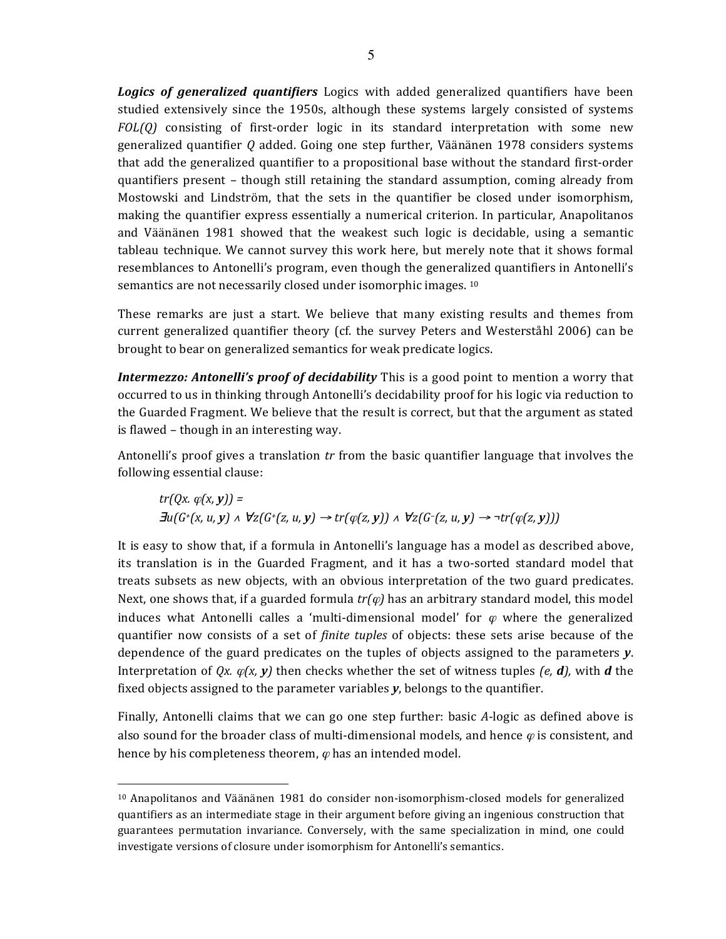Logics of generalized quantifiers Logics with added generalized quantifiers have been studied extensively since the 1950s, although these systems largely consisted of systems *FOL(Q)* consisting of first-order logic in its standard interpretation with some new generalized quantifier Q added. Going one step further, Väänänen 1978 considers systems that add the generalized quantifier to a propositional base without the standard first-order quantifiers present – though still retaining the standard assumption, coming already from Mostowski and Lindström, that the sets in the quantifier be closed under isomorphism, making the quantifier express essentially a numerical criterion. In particular, Anapolitanos and Väänänen 1981 showed that the weakest such logic is decidable, using a semantic tableau technique. We cannot survey this work here, but merely note that it shows formal resemblances to Antonelli's program, even though the generalized quantifiers in Antonelli's semantics are not necessarily closed under isomorphic images. <sup>10</sup>

These remarks are just a start. We believe that many existing results and themes from current generalized quantifier theory (cf. the survey Peters and Westerståhl 2006) can be brought to bear on generalized semantics for weak predicate logics.

*Intermezzo: Antonelli's proof of decidability* This is a good point to mention a worry that occurred to us in thinking through Antonelli's decidability proof for his logic via reduction to the Guarded Fragment. We believe that the result is correct, but that the argument as stated is flawed - though in an interesting way.

Antonelli's proof gives a translation *tr* from the basic quantifier language that involves the following essential clause:

$$
tr(Qx. \varphi(x, y)) =
$$
  

$$
\exists u(G^+(x, u, y) \land \forall z(G^+(z, u, y) \rightarrow tr(\varphi(z, y))) \land \forall z(G^-(z, u, y) \rightarrow \neg tr(\varphi(z, y))))
$$

It is easy to show that, if a formula in Antonelli's language has a model as described above, its translation is in the Guarded Fragment, and it has a two-sorted standard model that treats subsets as new objects, with an obvious interpretation of the two guard predicates. Next, one shows that, if a guarded formula  $tr(\varphi)$  has an arbitrary standard model, this model induces what Antonelli calles a 'multi-dimensional model' for  $\varphi$  where the generalized quantifier now consists of a set of *finite tuples* of objects: these sets arise because of the dependence of the guard predicates on the tuples of objects assigned to the parameters **y**. Interpretation of  $Qx$ .  $\varphi(x, y)$  then checks whether the set of witness tuples (e, **d**), with **d** the fixed objects assigned to the parameter variables y, belongs to the quantifier.

Finally, Antonelli claims that we can go one step further: basic A-logic as defined above is also sound for the broader class of multi-dimensional models, and hence  $\varphi$  is consistent, and hence by his completeness theorem,  $\varphi$  has an intended model.

-

 $10$  Anapolitanos and Väänänen 1981 do consider non-isomorphism-closed models for generalized quantifiers as an intermediate stage in their argument before giving an ingenious construction that guarantees permutation invariance. Conversely, with the same specialization in mind, one could investigate versions of closure under isomorphism for Antonelli's semantics.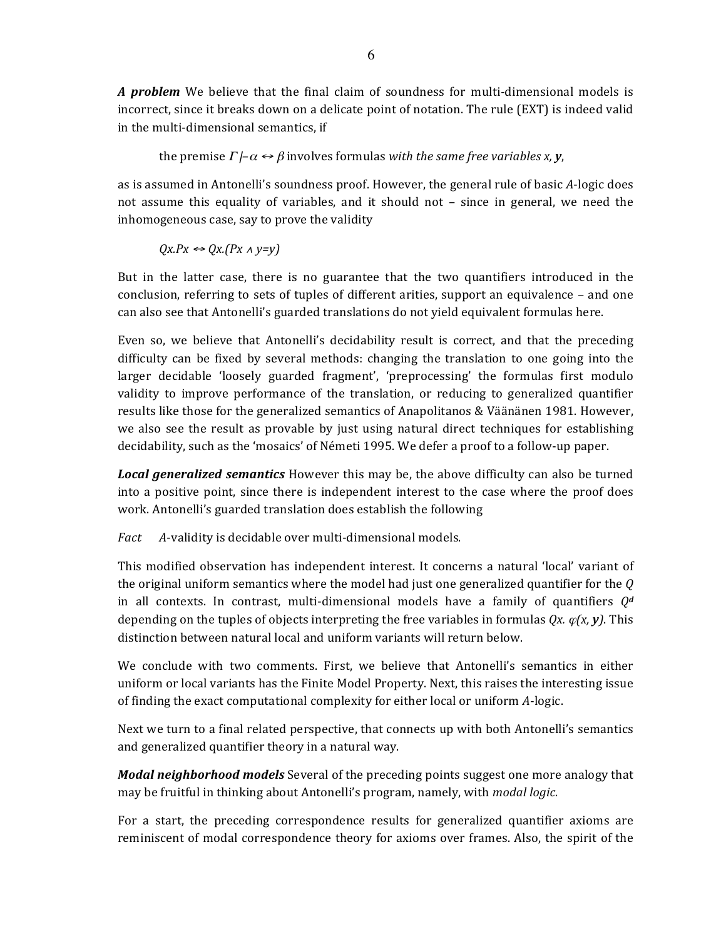*A* problem We believe that the final claim of soundness for multi-dimensional models is incorrect, since it breaks down on a delicate point of notation. The rule (EXT) is indeed valid in the multi-dimensional semantics, if

the premise  $\Gamma$  *|–* $\alpha \leftrightarrow \beta$  involves formulas with the same free variables *x*, *y*,

as is assumed in Antonelli's soundness proof. However, the general rule of basic A-logic does not assume this equality of variables, and it should not – since in general, we need the inhomogeneous case, say to prove the validity

 $QX.PX \leftrightarrow QX.(Px \land y=y)$ 

But in the latter case, there is no guarantee that the two quantifiers introduced in the conclusion, referring to sets of tuples of different arities, support an equivalence  $-$  and one can also see that Antonelli's guarded translations do not yield equivalent formulas here.

Even so, we believe that Antonelli's decidability result is correct, and that the preceding difficulty can be fixed by several methods: changing the translation to one going into the larger decidable 'loosely guarded fragment', 'preprocessing' the formulas first modulo validity to improve performance of the translation, or reducing to generalized quantifier results like those for the generalized semantics of Anapolitanos & Väänänen 1981. However, we also see the result as provable by just using natural direct techniques for establishing decidability, such as the 'mosaics' of Németi 1995. We defer a proof to a follow-up paper.

**Local generalized semantics** However this may be, the above difficulty can also be turned into a positive point, since there is independent interest to the case where the proof does work. Antonelli's guarded translation does establish the following

*Fact* A-validity is decidable over multi-dimensional models.

This modified observation has independent interest. It concerns a natural 'local' variant of the original uniform semantics where the model had just one generalized quantifier for the  $Q$ in all contexts. In contrast, multi-dimensional models have a family of quantifiers  $Q^d$ depending on the tuples of objects interpreting the free variables in formulas  $Qx$ .  $\varphi(x, y)$ . This distinction between natural local and uniform variants will return below.

We conclude with two comments. First, we believe that Antonelli's semantics in either uniform or local variants has the Finite Model Property. Next, this raises the interesting issue of finding the exact computational complexity for either local or uniform *A*-logic.

Next we turn to a final related perspective, that connects up with both Antonelli's semantics and generalized quantifier theory in a natural way.

*Modal neighborhood models* Several of the preceding points suggest one more analogy that may be fruitful in thinking about Antonelli's program, namely, with *modal logic*.

For a start, the preceding correspondence results for generalized quantifier axioms are reminiscent of modal correspondence theory for axioms over frames. Also, the spirit of the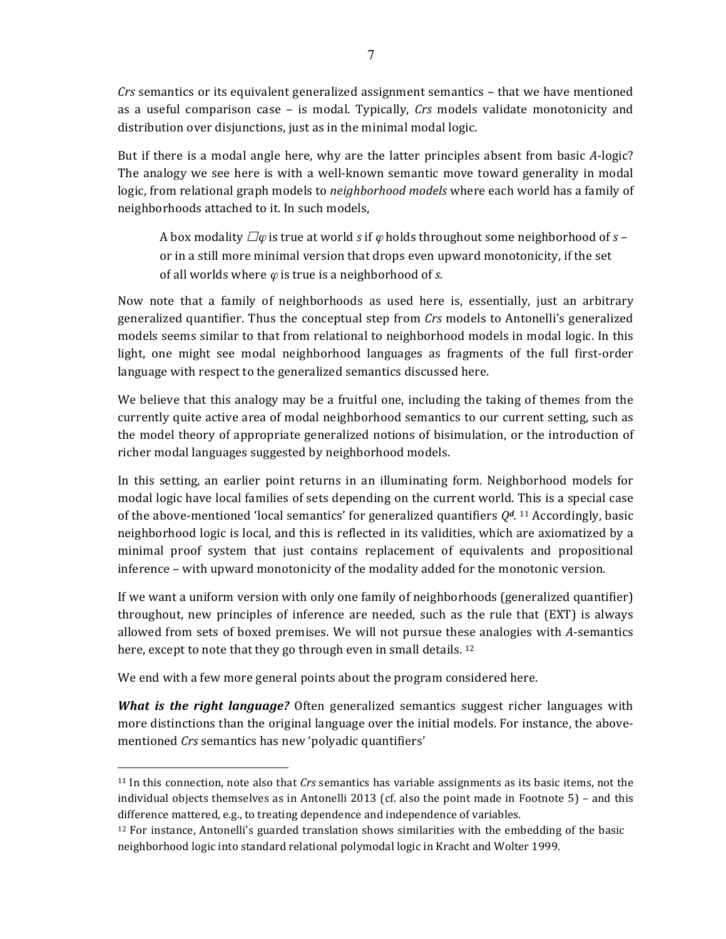*Crs* semantics or its equivalent generalized assignment semantics – that we have mentioned as a useful comparison case – is modal. Typically, *Crs* models validate monotonicity and distribution over disjunctions, just as in the minimal modal logic.

But if there is a modal angle here, why are the latter principles absent from basic *A*-logic? The analogy we see here is with a well-known semantic move toward generality in modal logic, from relational graph models to *neighborhood models* where each world has a family of neighborhoods attached to it. In such models,

A box modality  $\Box\varphi$  is true at world *s* if  $\varphi$  holds throughout some neighborhood of *s* – or in a still more minimal version that drops even upward monotonicity, if the set of all worlds where  $\varphi$  is true is a neighborhood of *s*.

Now note that a family of neighborhoods as used here is, essentially, just an arbitrary generalized quantifier. Thus the conceptual step from *Crs* models to Antonelli's generalized models seems similar to that from relational to neighborhood models in modal logic. In this light, one might see modal neighborhood languages as fragments of the full first-order language with respect to the generalized semantics discussed here.

We believe that this analogy may be a fruitful one, including the taking of themes from the currently quite active area of modal neighborhood semantics to our current setting, such as the model theory of appropriate generalized notions of bisimulation, or the introduction of richer modal languages suggested by neighborhood models.

In this setting, an earlier point returns in an illuminating form. Neighborhood models for modal logic have local families of sets depending on the current world. This is a special case of the above-mentioned 'local semantics' for generalized quantifiers  $Q^d$ . <sup>11</sup> Accordingly, basic neighborhood logic is local, and this is reflected in its validities, which are axiomatized by a minimal proof system that just contains replacement of equivalents and propositional inference – with upward monotonicity of the modality added for the monotonic version.

If we want a uniform version with only one family of neighborhoods (generalized quantifier) throughout, new principles of inference are needed, such as the rule that  $(EXT)$  is always allowed from sets of boxed premises. We will not pursue these analogies with A-semantics here, except to note that they go through even in small details.  $12$ 

We end with a few more general points about the program considered here.

-

*What is the right language?* Often generalized semantics suggest richer languages with more distinctions than the original language over the initial models. For instance, the abovementioned *Crs* semantics has new 'polyadic quantifiers'

 $11$  In this connection, note also that *Crs* semantics has variable assignments as its basic items, not the individual objects themselves as in Antonelli 2013 (cf. also the point made in Footnote  $5$ ) – and this difference mattered, e.g., to treating dependence and independence of variables.

 $12$  For instance, Antonelli's guarded translation shows similarities with the embedding of the basic neighborhood logic into standard relational polymodal logic in Kracht and Wolter 1999.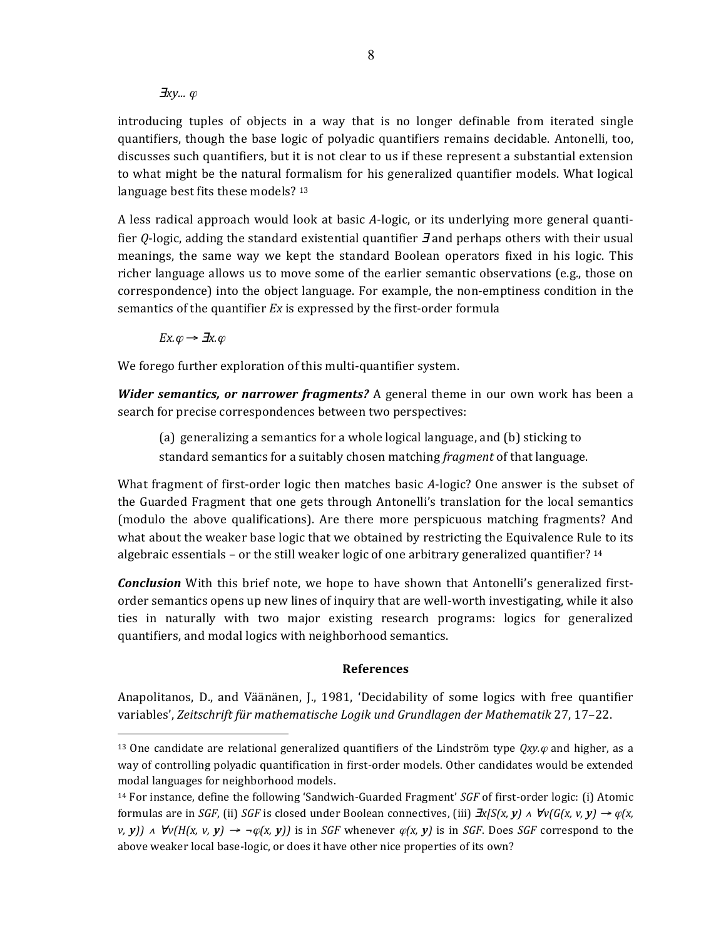## ∃*xy...* <sup>ϕ</sup>

introducing tuples of objects in a way that is no longer definable from iterated single quantifiers, though the base logic of polyadic quantifiers remains decidable. Antonelli, too, discusses such quantifiers, but it is not clear to us if these represent a substantial extension to what might be the natural formalism for his generalized quantifier models. What logical language best fits these models? 13

A less radical approach would look at basic *A*-logic, or its underlying more general quantifier *Q*-logic, adding the standard existential quantifier **J** and perhaps others with their usual meanings, the same way we kept the standard Boolean operators fixed in his logic. This richer language allows us to move some of the earlier semantic observations (e.g., those on correspondence) into the object language. For example, the non-emptiness condition in the semantics of the quantifier *Ex* is expressed by the first-order formula

 $Ex.\varphi \rightarrow \exists x.\varphi$ 

<u>.</u>

We forego further exploration of this multi-quantifier system.

*Wider semantics, or narrower fragments?* A general theme in our own work has been a search for precise correspondences between two perspectives:

(a) generalizing a semantics for a whole logical language, and (b) sticking to standard semantics for a suitably chosen matching *fragment* of that language.

What fragment of first-order logic then matches basic A-logic? One answer is the subset of the Guarded Fragment that one gets through Antonelli's translation for the local semantics (modulo the above qualifications). Are there more perspicuous matching fragments? And what about the weaker base logic that we obtained by restricting the Equivalence Rule to its algebraic essentials – or the still weaker logic of one arbitrary generalized quantifier?  $14$ 

*Conclusion* With this brief note, we hope to have shown that Antonelli's generalized firstorder semantics opens up new lines of inquiry that are well-worth investigating, while it also ties in naturally with two major existing research programs: logics for generalized quantifiers, and modal logics with neighborhood semantics.

## **References**

Anapolitanos, D., and Väänänen, J., 1981, 'Decidability of some logics with free quantifier variables', Zeitschrift für mathematische Logik und Grundlagen der Mathematik 27, 17–22.

<sup>&</sup>lt;sup>13</sup> One candidate are relational generalized quantifiers of the Lindström type  $Qxy.\varphi$  and higher, as a way of controlling polyadic quantification in first-order models. Other candidates would be extended modal languages for neighborhood models.

 $14$  For instance, define the following 'Sandwich-Guarded Fragment' *SGF* of first-order logic: (i) Atomic formulas are in *SGF*, (ii) *SGF* is closed under Boolean connectives, (iii)  $\exists x/S(x, y) \land \forall v(G(x, v, y) \rightarrow \varphi(x, y)$ *v, y*)  $\land$   $\forall v(H(x, v, y) \rightarrow \neg \varphi(x, y))$  is in *SGF* whenever  $\varphi(x, y)$  is in *SGF*. Does *SGF* correspond to the above weaker local base-logic, or does it have other nice properties of its own?